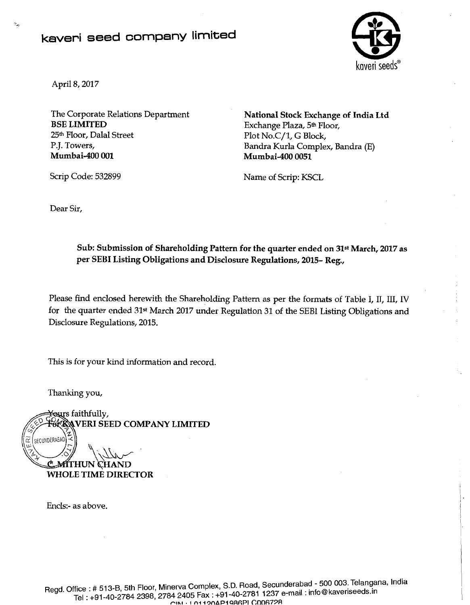## kaveri seed company limited



April 8,2017

The Corporate Relations Department BSE LIMITED 25th Floor, Dalal Street P.J. Towers, Mumbai-400 001

Scrip Code: 532899

National Stock Exchange of India Ltd Exchange Plaza, 5th Floor, Plot No.C/1, G Block, Bandra Kurla Complex, Bandra (E) Mumbai-400 0051

Name of Scrip: KSCL

Dear Sir,

## Sub: Submission of Shareholding Pattern for the quarter ended on 31st March, 2017 as per SEBI Listing Obligations and Disclosure Regulations, 2015- Reg.,

Please find enclosed herewith the Shareholding Pattern as per the formats of Table I, IT, 111, IV for the quarter ended 31<sup>st</sup> March 2017 under Regulation 31 of the SEBI Listing Obligations and Disclosure Regulations, 2015.

This is for your kind information and record.

Thanking you,

SECUNDERABAD

¥ours faithfully, VERI SEED COMPANY LIMITED

> C.MITHUN CHAND WHOLE TIME DIRECTOR

Encls:- as above.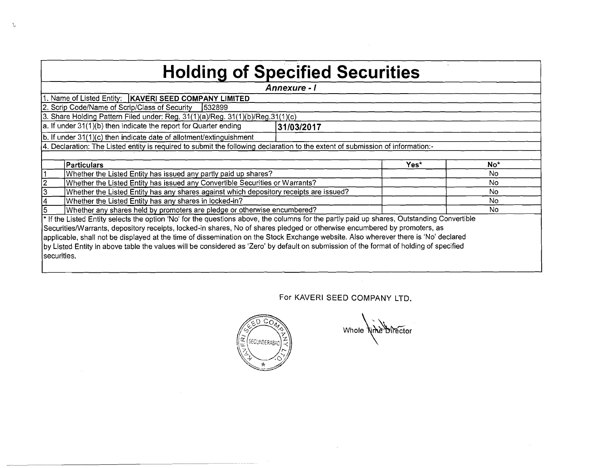| <b>Holding of Specified Securities</b>                                                                                                     |              |      |                 |  |  |  |  |  |  |  |  |  |
|--------------------------------------------------------------------------------------------------------------------------------------------|--------------|------|-----------------|--|--|--|--|--|--|--|--|--|
|                                                                                                                                            | Annexure - I |      |                 |  |  |  |  |  |  |  |  |  |
| 1. Name of Listed Entity:   KAVERI SEED COMPANY LIMITED                                                                                    |              |      |                 |  |  |  |  |  |  |  |  |  |
| 2. Scrip Code/Name of Scrip/Class of Security<br>1532899                                                                                   |              |      |                 |  |  |  |  |  |  |  |  |  |
| 3. Share Holding Pattern Filed under: Reg. 31(1)(a)/Reg. 31(1)(b)/Reg.31(1)(c)                                                             |              |      |                 |  |  |  |  |  |  |  |  |  |
| a. If under 31(1)(b) then indicate the report for Quarter ending                                                                           | 31/03/2017   |      |                 |  |  |  |  |  |  |  |  |  |
| b. If under 31(1)(c) then indicate date of allotment/extinguishment                                                                        |              |      |                 |  |  |  |  |  |  |  |  |  |
| 4. Declaration: The Listed entity is required to submit the following declaration to the extent of submission of information:-             |              |      |                 |  |  |  |  |  |  |  |  |  |
|                                                                                                                                            |              |      |                 |  |  |  |  |  |  |  |  |  |
| <b>Particulars</b>                                                                                                                         |              | Yes* | No <sup>*</sup> |  |  |  |  |  |  |  |  |  |
| Whether the Listed Entity has issued any partly paid up shares?                                                                            |              |      | No.             |  |  |  |  |  |  |  |  |  |
| $\overline{\mathbf{2}}$<br>Whether the Listed Entity has issued any Convertible Securities or Warrants?                                    |              |      | No.             |  |  |  |  |  |  |  |  |  |
| 3<br>Whether the Listed Entity has any shares against which depository receipts are issued?                                                |              |      | No.             |  |  |  |  |  |  |  |  |  |
| Whether the Listed Entity has any shares in locked-in?<br>14                                                                               |              |      | No.             |  |  |  |  |  |  |  |  |  |
| Whether any shares held by promoters are pledge or otherwise encumbered?                                                                   |              |      | No.             |  |  |  |  |  |  |  |  |  |
| * If the Listed Entity selects the option 'No' for the questions above, the columns for the partly paid up shares, Outstanding Convertible |              |      |                 |  |  |  |  |  |  |  |  |  |
| Securities/Warrants, depository receipts, locked-in shares, No of shares pledged or otherwise encumbered by promoters, as                  |              |      |                 |  |  |  |  |  |  |  |  |  |
| applicable, shall not be displayed at the time of dissemination on the Stock Exchange website. Also wherever there is 'No' declared        |              |      |                 |  |  |  |  |  |  |  |  |  |
| by Listed Entity in above table the values will be considered as 'Zero' by default on submission of the format of holding of specified     |              |      |                 |  |  |  |  |  |  |  |  |  |
| securities.                                                                                                                                |              |      |                 |  |  |  |  |  |  |  |  |  |
|                                                                                                                                            |              |      |                 |  |  |  |  |  |  |  |  |  |

 $\Lambda$ 

For KAVERl SEED COMPANY LTD.

 $\mathcal{A}$ 

 $\sim 10$ 



 $\sim$ 

Whole wine birector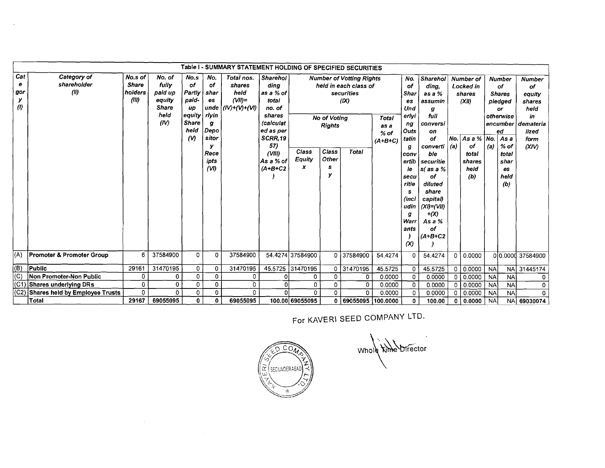| Table I - SUMMARY STATEMENT HOLDING OF SPECIFIED SECURITIES |                                      |              |              |              |             |                        |                        |                  |                     |                                 |               |                    |                 |                    |                 |            |               |                  |           |  |    |    |
|-------------------------------------------------------------|--------------------------------------|--------------|--------------|--------------|-------------|------------------------|------------------------|------------------|---------------------|---------------------------------|---------------|--------------------|-----------------|--------------------|-----------------|------------|---------------|------------------|-----------|--|----|----|
| Cat                                                         | Category of                          | No.s of      | No. of       | No.s         | No.         | Total nos.             | Sharehol               |                  |                     | <b>Number of Votting Rights</b> |               | No.                | <b>Sharehol</b> |                    | Number of       |            | <b>Number</b> | <b>Number</b>    |           |  |    |    |
| е                                                           | shareholder                          | <b>Share</b> | fully        | of           | of          | shares                 | dina                   |                  |                     | held in each class of           |               | of                 | ding.           |                    |                 |            |               |                  | Locked in |  | of | of |
| gor                                                         | (0)                                  | holders      | paid up      | Partly       | shar        | held                   | as a % of              |                  |                     | securities                      |               | Shar               | as a %          |                    | shares          |            | <b>Shares</b> | equity           |           |  |    |    |
| у                                                           |                                      | (III)        | equity       | paid-        | es          | $(VII)$ =              | total                  |                  |                     | (IX)                            |               | es                 | assumin         |                    | (XII)           |            | pledged       | shares           |           |  |    |    |
| $\boldsymbol{\theta}$                                       |                                      |              | <b>Share</b> | <b>up</b>    |             | unde $ (IV)+(V)+(VI) $ | no. of                 |                  |                     |                                 |               | Und                | g               |                    |                 |            | or            | held             |           |  |    |    |
|                                                             |                                      |              | held         | equity       | rlvin       |                        | shares                 |                  | <b>No of Votina</b> | Total                           | erlyi         | full               |                 |                    |                 | otherwise  | in            |                  |           |  |    |    |
|                                                             |                                      |              | (IV)         | <b>Share</b> | g           |                        | (calculat              |                  | <b>Rights</b>       |                                 |               |                    | conversi        |                    |                 |            | encumber      | demateria        |           |  |    |    |
|                                                             |                                      |              |              | held         | Depo        |                        | ed as per              |                  |                     | $%$ of                          | Outs          | on                 |                 |                    |                 | ed         | lized         |                  |           |  |    |    |
|                                                             |                                      |              |              | $\omega$     | sitor       |                        | SCRR,19                |                  |                     | $(A+B+C)$                       | tatin         | of                 |                 | $No.$ As a %   No. |                 | As a       | form          |                  |           |  |    |    |
|                                                             |                                      |              |              |              |             |                        | 57)                    | Class            |                     | g                               | converti      | (a)                | of              | (a)                | % of            | (XIV)      |               |                  |           |  |    |    |
|                                                             |                                      |              |              |              | Rece        |                        | (VIII)                 | Equity           |                     | conv                            | ble           |                    | total           |                    | total           |            |               |                  |           |  |    |    |
|                                                             |                                      |              |              |              | ipts<br>(W) |                        | As a % of<br>$(A+B+C2$ | x                |                     | ertib                           | securitie     |                    | shares          |                    | shar            |            |               |                  |           |  |    |    |
|                                                             |                                      |              |              |              |             |                        |                        | s<br>у           |                     |                                 | le.           | $s$ as a $%$<br>οf |                 | held               |                 | es<br>held |               |                  |           |  |    |    |
|                                                             |                                      |              |              |              |             |                        |                        |                  |                     |                                 | secu<br>ritie | diluted            |                 | (b)                |                 | (b)        |               |                  |           |  |    |    |
|                                                             |                                      |              |              |              |             |                        |                        |                  |                     |                                 |               | s                  | share           |                    |                 |            |               |                  |           |  |    |    |
|                                                             |                                      |              |              |              |             |                        |                        |                  |                     |                                 |               | (incl              | capital)        |                    |                 |            |               |                  |           |  |    |    |
|                                                             |                                      |              |              |              |             |                        |                        |                  |                     |                                 |               | udin               | $(XI) = (VII)$  |                    |                 |            |               |                  |           |  |    |    |
|                                                             |                                      |              |              |              |             |                        |                        |                  |                     |                                 |               | g                  | $+\infty$       |                    |                 |            |               |                  |           |  |    |    |
|                                                             |                                      |              |              |              |             |                        |                        |                  |                     |                                 |               | Warr               | As a %          |                    |                 |            |               |                  |           |  |    |    |
|                                                             |                                      |              |              |              |             |                        |                        |                  |                     |                                 |               | ants               | of              |                    |                 |            |               |                  |           |  |    |    |
|                                                             |                                      |              |              |              |             |                        |                        |                  |                     |                                 |               |                    | $(A+B+C2$       |                    |                 |            |               |                  |           |  |    |    |
|                                                             |                                      |              |              |              |             |                        |                        |                  |                     |                                 |               | $\infty$           |                 |                    |                 |            |               |                  |           |  |    |    |
| (A)                                                         | <b>Promoter &amp; Promoter Group</b> | 6            | 37584900     | $\Omega$     | $\mathbf 0$ | 37584900               |                        | 54.4274 37584900 | 0 37584900          |                                 | 54.4274       | 0                  | 54.4274         | $\mathbf 0$        | 0.0000          |            |               | 00.0000 37584900 |           |  |    |    |
| (B)                                                         | Public                               | 29161        | 31470195     | 0            | 0           | 31470195               |                        | 45.5725 31470195 | 0 31470195          |                                 | 45.5725       | $\Omega$           | 45.5725         | 0                  | 0.0000          | <b>NA</b>  |               | NA 31445174      |           |  |    |    |
| (C)                                                         | Non Promoter-Non Public              | 0            | 0            | $\mathbf 0$  | 0           | 0                      |                        | 0                | 0                   | $\Omega$                        | 0.0000        | 0                  | 0.0000          | $\mathbf 0$        | $\sqrt{0.0000}$ | <b>NA</b>  | <b>NA</b>     | 0                |           |  |    |    |
| (C1)                                                        | Shares underlying DRs                | 0            | 0            | $\mathbf{0}$ | 0           | 0                      | $\Omega$               | 0                | 0                   | 0                               | 0.0000        | 0                  | 0.0000          | 0                  | 0.0000          | <b>NA</b>  | <b>NA</b>     | 0                |           |  |    |    |
| (C2)                                                        | Shares held by Employee Trusts       | 0            | 0            | 0            | 0           | 0                      |                        | $\Omega$         | 0.                  | 0                               | 0.0000        | O                  | 0.0000          | ∩                  | 0.0000          | <b>NA</b>  | <b>NA</b>     | $\Omega$         |           |  |    |    |
|                                                             | Total                                | 29167        | 69055095     | $\mathbf{0}$ | 0           | 69055095               |                        | 100.00 69055095  |                     | 0   69055095   100.0000         |               | 0                  | 100.00          |                    | 0   0.0000      | <b>NA</b>  |               | NA 69030074      |           |  |    |    |

 $\mathcal{A}$ 

For KAVERI SEED COMPANY LTD.



 $\sim 10^7$ 

Whole kine Director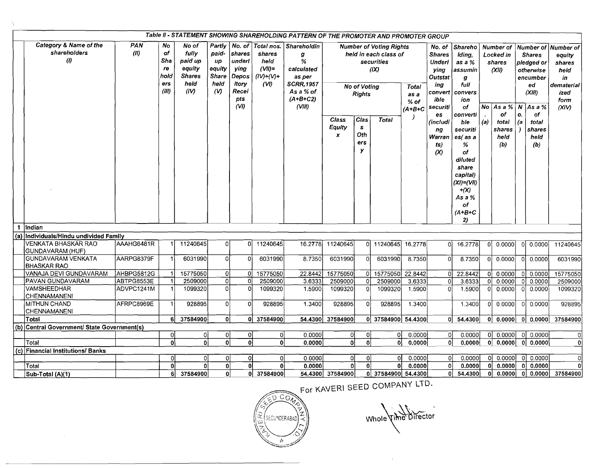| Table II - STATEMENT SHOWING SHAREHOLDING PATTERN OF THE PROMOTER AND PROMOTER GROUP |                                                               |             |                                               |                                                                      |                                                                |                                                                              |                                                                  |                                                                                                        |                                                                                                                       |                                         |                    |        |                                               |                                                                                                                                                   |                                                                                                   |                                                                             |              |                                                        |              |                                                                                |                                                                                              |
|--------------------------------------------------------------------------------------|---------------------------------------------------------------|-------------|-----------------------------------------------|----------------------------------------------------------------------|----------------------------------------------------------------|------------------------------------------------------------------------------|------------------------------------------------------------------|--------------------------------------------------------------------------------------------------------|-----------------------------------------------------------------------------------------------------------------------|-----------------------------------------|--------------------|--------|-----------------------------------------------|---------------------------------------------------------------------------------------------------------------------------------------------------|---------------------------------------------------------------------------------------------------|-----------------------------------------------------------------------------|--------------|--------------------------------------------------------|--------------|--------------------------------------------------------------------------------|----------------------------------------------------------------------------------------------|
|                                                                                      | Category & Name of the<br>shareholders<br>$\langle l \rangle$ | PAN<br>(11) | No<br>of<br>Sha<br>re<br>hold<br>ers<br>(III) | No of<br>fully<br>paid up<br>equity<br><b>Shares</b><br>held<br>(IV) | Partly<br>paid-<br>up<br>equity<br><b>Share</b><br>held<br>(y) | No. of<br>shares<br>underl<br>ying<br>Depos<br>itory<br>Recei<br>pts<br>(VI) | Total nos.<br>shares<br>held<br>$(VII)$ =<br>$(IV)+(V)+$<br>(VI) | Shareholdin<br>g<br>%<br>calculated<br>as per<br><b>SCRR,1957</b><br>As a % of<br>$(A+B+C2)$<br>(VIII) | <b>Number of Voting Rights</b><br>held in each class of<br>securities<br>(IX)<br><b>No of Voting</b><br><b>Rights</b> |                                         |                    |        |                                               | Total<br>as a<br>$%$ of<br>$(A+B+C$                                                                                                               | No. of<br><b>Shares</b><br><b>Underl</b><br>ying<br>Outstat<br>ing<br>convert<br>ible<br>securiti | Shareho<br>Idina.<br>as a %<br>assumin<br>g<br>full<br>convers<br>ion<br>of |              | Number of<br>Locked in<br>shares<br>(XII)<br>No Asa% N |              | <b>Shares</b><br>pledged or<br>otherwise<br>encumber<br>ed<br>(XIII)<br>As a % | Number of Number of<br>eauity<br>shares<br>held<br>in<br>dematerial<br>ized<br>form<br>(XIV) |
|                                                                                      |                                                               |             |                                               |                                                                      |                                                                |                                                                              |                                                                  |                                                                                                        | Class<br>Equity<br>$\boldsymbol{x}$                                                                                   | Clas<br>$\mathbf{s}$<br>Oth<br>ers<br>у | <b>Total</b>       |        | es.<br>(includi<br>ng<br>Warran<br>ts)<br>(x) | converti<br>ble<br>securiti<br>$es$ (as a<br>%<br>of<br>diluted<br>share<br>capital)<br>$(XI)= (VII)$<br>$+(X)$<br>As a %<br>of<br>$(A+B+C$<br>2) | (a)                                                                                               | of<br>total<br>shares<br>held<br>(b)                                        | О.<br> a     | of<br>total<br>shares<br>held<br>(b)                   |              |                                                                                |                                                                                              |
| 1.                                                                                   | lindian                                                       |             |                                               |                                                                      |                                                                |                                                                              |                                                                  |                                                                                                        |                                                                                                                       |                                         |                    |        |                                               |                                                                                                                                                   |                                                                                                   |                                                                             |              |                                                        |              |                                                                                |                                                                                              |
| (a)                                                                                  | Individuals/Hindu undivided Family                            |             |                                               |                                                                      |                                                                |                                                                              |                                                                  |                                                                                                        |                                                                                                                       |                                         |                    |        |                                               |                                                                                                                                                   |                                                                                                   |                                                                             |              |                                                        |              |                                                                                |                                                                                              |
|                                                                                      | VENKATA BHASKAR RAO<br>GUNDAVARAM (HUF)                       | AAAHG6481R  | 1                                             | 11240645                                                             | οl                                                             | οI                                                                           | 11240645                                                         | 16.2778                                                                                                | 11240645                                                                                                              |                                         | 11240645 16.2778   |        | 0Ì                                            | 16.2778                                                                                                                                           |                                                                                                   | 0.0000                                                                      |              | 0 0.0000                                               | 11240645     |                                                                                |                                                                                              |
|                                                                                      | <b>GUNDAVARAM VENKATA</b><br><b>BHASKAR RAO</b>               | AARPG8379F  |                                               | 6031990                                                              | οl                                                             | $\Omega$                                                                     | 6031990                                                          | 8.7350                                                                                                 | 6031990                                                                                                               | $\Omega$                                | 6031990            | 8.7350 | $\Omega$                                      | 8.7350                                                                                                                                            |                                                                                                   | 0.0000                                                                      | $\Omega$     | 0.0000                                                 | 6031990      |                                                                                |                                                                                              |
|                                                                                      | VANAJA DEVI GUNDAVARAM                                        | AHBPG5812G  | 1                                             | 15775050                                                             | οI                                                             | οI                                                                           | 15775050                                                         | 22.8442                                                                                                | 15775050                                                                                                              | οI                                      | 15775050 22.8442   |        | 0 <sup>1</sup>                                | 22.8442                                                                                                                                           | ΟÌ                                                                                                | 0.0000                                                                      |              | 0.0000                                                 | 15775050     |                                                                                |                                                                                              |
|                                                                                      | PAVAN GUNDAVARAM                                              | ABTPG8553E  | 1                                             | 2509000                                                              | οl                                                             | $\Omega$                                                                     | 2509000                                                          | 3.6333                                                                                                 | 2509000                                                                                                               | Ωl                                      | 2509000            | 3.6333 | 0                                             | 3.6333                                                                                                                                            |                                                                                                   | 0.0000                                                                      |              | 0.0000                                                 | 2509000      |                                                                                |                                                                                              |
|                                                                                      | VAMSHEEDHAR<br>CHENNAMANENI                                   | ADVPC1241M  | $\mathbf{1}$                                  | 1099320                                                              | οl                                                             |                                                                              | 1099320                                                          | 1.5900                                                                                                 | 1099320                                                                                                               | $\Omega$                                | 1099320            | 1.5900 | 0                                             | 1.5900                                                                                                                                            |                                                                                                   | 0.0000                                                                      | $\Omega$     | 0.0000                                                 | 1099320      |                                                                                |                                                                                              |
|                                                                                      | <b>MITHUN CHAND</b><br><b>CHENNAMANENI</b>                    | AFRPC8969E  | 1                                             | 928895                                                               | οl                                                             | $\Omega$                                                                     | 928895                                                           | 1.3400                                                                                                 | 928895                                                                                                                | $\Omega$                                | 928895             | 1.3400 |                                               | 1.3400                                                                                                                                            | ΩI                                                                                                | 0.0000                                                                      |              | 0.0000                                                 | 928895       |                                                                                |                                                                                              |
|                                                                                      | Total                                                         |             | 61                                            | 37584900                                                             | 0Ì                                                             |                                                                              | 0 37584900                                                       |                                                                                                        | 54.4300 37584900                                                                                                      |                                         | 0 37584900 54.4300 |        | 0                                             | 54.4300                                                                                                                                           | ٥I                                                                                                | 0.0000                                                                      | $\mathbf{0}$ | 0.0000                                                 | 37584900     |                                                                                |                                                                                              |
|                                                                                      | (b) Central Government/ State Government(s)                   |             |                                               |                                                                      |                                                                |                                                                              |                                                                  |                                                                                                        |                                                                                                                       |                                         |                    |        |                                               |                                                                                                                                                   |                                                                                                   |                                                                             |              |                                                        |              |                                                                                |                                                                                              |
|                                                                                      |                                                               |             | 0                                             | ٥ł                                                                   | 0l                                                             | 01                                                                           | οl                                                               | 0.0000                                                                                                 | 0ł                                                                                                                    | 0                                       | 0                  | 0.0000 | 0l                                            | 0.0000                                                                                                                                            |                                                                                                   | $ 0 $ 0.0000                                                                | ΩI           | 0.0000                                                 | 0            |                                                                                |                                                                                              |
|                                                                                      | Total                                                         |             | اه                                            | ٥l                                                                   | ۵l                                                             | ۵ì                                                                           | ٥l                                                               | 0.0000                                                                                                 | οl                                                                                                                    | $\Omega$                                | ٥l                 | 0.0000 | 0l                                            | 0.00001                                                                                                                                           |                                                                                                   | 0 0.0000                                                                    | οl           | 0.0000                                                 | $\mathbf{0}$ |                                                                                |                                                                                              |
|                                                                                      | (c) Financial Institutions/ Banks                             |             |                                               |                                                                      |                                                                |                                                                              |                                                                  |                                                                                                        |                                                                                                                       |                                         |                    |        |                                               |                                                                                                                                                   |                                                                                                   |                                                                             |              |                                                        |              |                                                                                |                                                                                              |
|                                                                                      |                                                               |             | $\Omega$                                      | Ωİ                                                                   |                                                                | Οl                                                                           | οI                                                               | 0.0000                                                                                                 | 0                                                                                                                     | U                                       | $\Omega$           | 0.0000 | οI                                            | 0.0000                                                                                                                                            | ΩI                                                                                                | 0.0000                                                                      | $\Omega$     | 0.0000                                                 | οl           |                                                                                |                                                                                              |
|                                                                                      | Total                                                         |             | $\overline{0}$                                | ۵l                                                                   | Οl                                                             | 0l                                                                           | 0                                                                | 0.0000                                                                                                 | ٥l                                                                                                                    | οl                                      | $\mathbf{0}$       | 0.0000 | 0                                             | 0.0000                                                                                                                                            | 0                                                                                                 | 0.0000                                                                      | 0 I          | 0.0000                                                 | ٥I           |                                                                                |                                                                                              |
|                                                                                      | Sub-Total (A)(1)                                              |             | 6                                             | 37584900                                                             | ٥l                                                             |                                                                              | 0 37584900                                                       |                                                                                                        | 54.4300 37584900                                                                                                      |                                         | 0 37584900 54.4300 |        | ٥I                                            | 54,4300                                                                                                                                           | ΟI                                                                                                | 0.0000                                                                      |              | 0.0000                                                 | 37584900     |                                                                                |                                                                                              |

For KAVERI SEED COMPANY LTD.



Whole Time Director

 $\bar{\mathbf{v}}$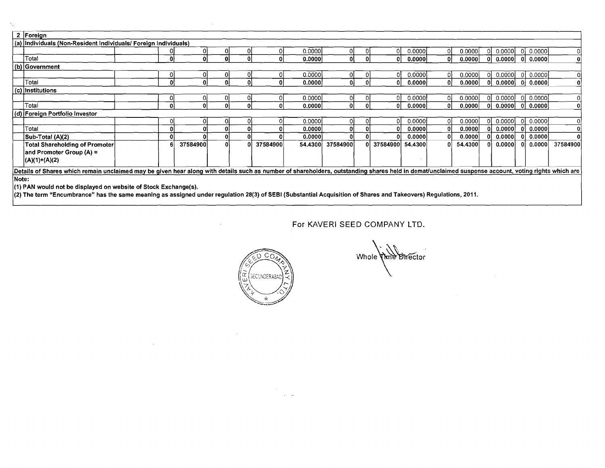|       | 2 Foreign                                                                                                                                                                                          |  |    |          |  |  |          |         |          |   |            |         |    |         |  |         |        |          |
|-------|----------------------------------------------------------------------------------------------------------------------------------------------------------------------------------------------------|--|----|----------|--|--|----------|---------|----------|---|------------|---------|----|---------|--|---------|--------|----------|
|       | (a) Individuals (Non-Resident Individuals/ Foreign Individuals)                                                                                                                                    |  |    |          |  |  |          |         |          |   |            |         |    |         |  |         |        |          |
|       |                                                                                                                                                                                                    |  |    |          |  |  |          | 0.0000  | 01       |   | 0          | 0.00001 | 01 | 0.0000  |  | 0.0000  | 0.0000 |          |
|       | Total                                                                                                                                                                                              |  | O  | Ωł       |  |  |          | 0.0000  | ٥I       |   | 0          | 0.0000  | ΩI | 0.0000  |  | 0.0000  | 0.0000 | ٥I       |
|       | (b) Government                                                                                                                                                                                     |  |    |          |  |  |          |         |          |   |            |         |    |         |  |         |        |          |
|       |                                                                                                                                                                                                    |  |    |          |  |  |          | 0.0000  |          |   | ΟI         | 0.0000  |    | 0.0000  |  | 0.0000  | 0.0000 | οı       |
|       | Total                                                                                                                                                                                              |  |    | ΩI       |  |  |          | 0.0000  |          | 0 | Οl         | 0.00001 |    | 0.0000  |  | 0.00001 | 0.0000 | 01       |
|       | (c) Institutions                                                                                                                                                                                   |  |    |          |  |  |          |         |          |   |            |         |    |         |  |         |        |          |
|       |                                                                                                                                                                                                    |  |    |          |  |  |          | 0.0000  | 01       |   | οı         | 0.0000  | ΩI | 0.0000  |  | 0.0000  | 0.0000 | ΩI       |
|       | Total                                                                                                                                                                                              |  | 0. |          |  |  |          | 0.0000  | ΟI       |   | $\Omega$   | 0.0000  | οı | 0.0000  |  | 0.0000  | 0.0000 |          |
|       | (d) Foreign Portfolio Investor                                                                                                                                                                     |  |    |          |  |  |          |         |          |   |            |         |    |         |  |         |        |          |
|       |                                                                                                                                                                                                    |  |    | ΩI       |  |  |          | 0.00001 |          |   | ΩI         | 0.0000  | 01 | 0.0000  |  | 0.0000  | 0.0000 |          |
|       | Total                                                                                                                                                                                              |  |    |          |  |  |          | 0.0000  |          |   | o          | 0.00001 | ΟI | 0.0000  |  | 0.0000  | 0.0000 |          |
|       | Sub-Total (A)(2)                                                                                                                                                                                   |  |    |          |  |  |          | 0.0000  |          |   | o          | 0.0000  |    | 0.0000  |  | 0.00001 | 0.0000 | ΩI       |
|       | Total Shareholding of Promoter                                                                                                                                                                     |  |    | 37584900 |  |  | 37584900 | 54.4300 | 37584900 |   | 0 37584900 | 54.4300 |    | 54.4300 |  | 0.0000  | 0.0000 | 37584900 |
|       | and Promoter Group (A) =                                                                                                                                                                           |  |    |          |  |  |          |         |          |   |            |         |    |         |  |         |        |          |
|       | $ (A)(1)+(A)(2) $                                                                                                                                                                                  |  |    |          |  |  |          |         |          |   |            |         |    |         |  |         |        |          |
|       | Details of Shares which remain unclaimed may be given hear along with details such as number of shareholders, outstanding shares held in demat/unclaimed suspense account, voting rights which are |  |    |          |  |  |          |         |          |   |            |         |    |         |  |         |        |          |
| Note: |                                                                                                                                                                                                    |  |    |          |  |  |          |         |          |   |            |         |    |         |  |         |        |          |
|       | (1) PAN would not be displayed on website of Stock Exchange(s).                                                                                                                                    |  |    |          |  |  |          |         |          |   |            |         |    |         |  |         |        |          |

(2) The term "Encumbrance" has the same meaning as assigned under regulation 28(3) of SEBI (Substantial Acquisition of Shares and Takeovers) Regulations, 2011.

 $\sim$ 

 $\sim 10^{-1}$ 

 $\sim$ 

For KAVERI SEED COMPANY LTD.



 $\frac{1}{2} \sum_{i=1}^{n} \frac{1}{2} \sum_{j=1}^{n} \frac{1}{2} \sum_{j=1}^{n} \frac{1}{2} \sum_{j=1}^{n} \frac{1}{2} \sum_{j=1}^{n} \frac{1}{2} \sum_{j=1}^{n} \frac{1}{2} \sum_{j=1}^{n} \frac{1}{2} \sum_{j=1}^{n} \frac{1}{2} \sum_{j=1}^{n} \frac{1}{2} \sum_{j=1}^{n} \frac{1}{2} \sum_{j=1}^{n} \frac{1}{2} \sum_{j=1}^{n} \frac{1}{2} \sum_{j=1}^{n$ 

Whole Time Director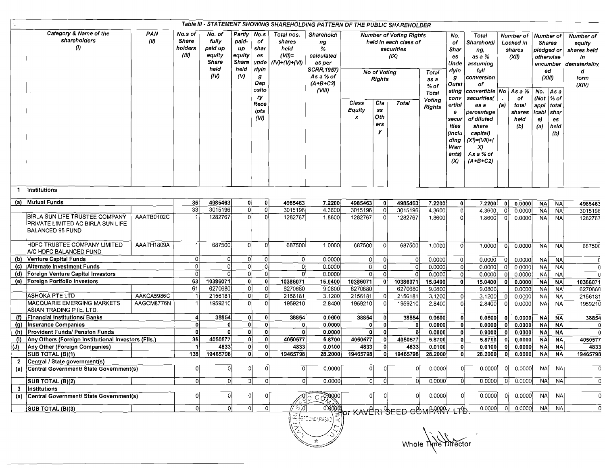| Table III - STATEMENT SHOWING SHAREHOLDING PATTERN OF THE PUBLIC SHAREHOLDER |                                                                                                |             |                                      |                                                               |                                                              |                                                       |                                                              |                                                                                                               |                      |                               |                                                                               |                                                 |                                                                                                        |                                                                                                                                                       |              |                                                |                                                                                   |                   |                                                                        |
|------------------------------------------------------------------------------|------------------------------------------------------------------------------------------------|-------------|--------------------------------------|---------------------------------------------------------------|--------------------------------------------------------------|-------------------------------------------------------|--------------------------------------------------------------|---------------------------------------------------------------------------------------------------------------|----------------------|-------------------------------|-------------------------------------------------------------------------------|-------------------------------------------------|--------------------------------------------------------------------------------------------------------|-------------------------------------------------------------------------------------------------------------------------------------------------------|--------------|------------------------------------------------|-----------------------------------------------------------------------------------|-------------------|------------------------------------------------------------------------|
|                                                                              | Category & Name of the<br>shareholders<br>$\langle l \rangle$                                  | PAN<br>(11) | No.s of<br>Share<br>holders<br>(III) | No. of<br>fully<br>paid up<br>eauity<br>Share<br>held<br>(IV) | Partly<br>paid-<br>иp<br>equity<br>Share<br>held<br>$\omega$ | No.s<br>of<br>shar<br>es<br>unde<br>rlyin<br>g<br>Dep | Total nos.<br>shares<br>held<br>$(VII)$ =<br>$(IV)+(V)+(VI)$ | Shareholdi<br>ng<br>%<br>calculated<br>as per<br><b>SCRR, 1957)</b><br>As a % of<br>$(A + B + C2)$            |                      | No of Voting<br><b>Rights</b> | <b>Number of Voting Rights</b><br>held in each class of<br>securities<br>(IX) | <b>Total</b><br>as a                            | No.<br>of<br>Shar<br>es<br>Unde<br>rlyin<br>g                                                          | Total<br>Shareholdi<br>ng,<br>as a %<br>assuming<br>full<br>conversion<br>оf                                                                          |              | Number of<br>Locked in<br>shares<br>(XII)      | Number of<br><b>Shares</b><br>pledged or<br>otherwise<br>encumber<br>ed<br>(XIII) |                   | Number of<br>equity<br>shares held<br>in<br>dematerialize<br>đ<br>form |
|                                                                              |                                                                                                |             |                                      |                                                               |                                                              | osito<br>ry<br>Rece<br>ipts<br>(VI)                   |                                                              | (VIII)                                                                                                        | Class<br>Equity<br>x | Cla<br>SS<br>Oth<br>ers<br>У  | <b>Total</b>                                                                  | % of<br><b>Total</b><br>Voting<br><b>Rights</b> | Outst<br>ating<br>conv<br>ertibl<br>e<br>secur<br>ities<br>(inclu<br>ding<br>Warr<br>ants)<br>$\infty$ | convertible   No  <br>securities(<br>as a<br>percentage<br>of diluted<br>share<br>capital)<br>$(XI) = (VII) + ($<br>X)<br>As a % of<br>$(A + B + C2)$ | (a)          | As a %<br>of<br>total<br>shares<br>held<br>(b) | No. $As a$<br>(Not $\frac{1}{2}$ of<br>appi total<br> icabl shar<br>e)<br>(a)     | es<br>held<br>(b) | (XIV)                                                                  |
| -1                                                                           | Institutions                                                                                   |             |                                      |                                                               |                                                              |                                                       |                                                              |                                                                                                               |                      |                               |                                                                               |                                                 |                                                                                                        |                                                                                                                                                       |              |                                                |                                                                                   |                   |                                                                        |
|                                                                              | (a) Mutual Funds                                                                               |             | 35                                   | 4985463                                                       | 01                                                           | 0                                                     | 4985463                                                      | 7.2200                                                                                                        | 4985463              | 0                             | 4985463                                                                       | 7.2200                                          | 0                                                                                                      | 7.2200                                                                                                                                                | -01          | 0.0000                                         | <b>NA</b>                                                                         | <b>NA</b>         | 4985463                                                                |
|                                                                              |                                                                                                |             | $\overline{33}$                      | 3015196                                                       | οI                                                           | $\overline{\mathfrak{o}}$                             | 3015196                                                      | 4.3600                                                                                                        | 3015196              | $\circ$                       | 3015196                                                                       | 4.3600                                          | οl                                                                                                     | 4.3600                                                                                                                                                | 0            | 0.0000                                         | <b>NA</b>                                                                         | <b>NA</b>         | 3015196                                                                |
|                                                                              | BIRLA SUN LIFE TRUSTEE COMPANY<br>PRIVATE LIMITED AC BIRLA SUN LIFE<br><b>BALANCED 95 FUND</b> | AAATB0102C  |                                      | 1282767                                                       | Ωl                                                           | $\Omega$                                              | 1282767                                                      | 1.8600                                                                                                        | 1282767              | $\overline{0}$                | 1282767                                                                       | 1.8600                                          | οI                                                                                                     | 1.8600                                                                                                                                                | -01          | 0.0000                                         | <b>NA</b>                                                                         | <b>NA</b>         | 1282767                                                                |
|                                                                              | HDFC TRUSTEE COMPANY LIMITED<br>A/C HDFC BALANCED FUND                                         | AAATH1809A  |                                      | 687500                                                        | 0                                                            | <sup>0</sup>                                          | 687500                                                       | 1.0000                                                                                                        | 687500               | <sub>0</sub>                  | 687500                                                                        | 1.0000                                          | ΩI                                                                                                     | 1.0000                                                                                                                                                | 0            | 0.0000                                         | <b>NA</b>                                                                         | <b>NA</b>         | 68750C                                                                 |
|                                                                              | (b) Venture Capital Funds                                                                      |             | ٥ł                                   | 0                                                             | 01                                                           | $\Omega$                                              | 0l                                                           | 0.0000                                                                                                        | 0                    | 0                             | 01                                                                            | 0.0000                                          | 01                                                                                                     | 0.0000                                                                                                                                                | 0            | 0.0000                                         | NA                                                                                | NA                | -C                                                                     |
| (c)                                                                          | Alternate Investment Funds                                                                     |             | -ol                                  | n                                                             | $\Omega$                                                     | $\Omega$                                              | $\Omega$                                                     | 0.0000                                                                                                        | 0l                   | $\mathbf 0$                   | $\Omega$                                                                      | 0.0000                                          | $\Omega$                                                                                               | 0.0000                                                                                                                                                | $\Omega$     | 0.0000                                         | NA                                                                                | <b>NA</b>         | $\Omega$                                                               |
|                                                                              | (d) Foreign Venture Capital Investors                                                          |             | 0l                                   | 0l                                                            | $\Omega$                                                     | 0l                                                    |                                                              | 0.0000                                                                                                        |                      | $\circ$                       |                                                                               | 0.0000                                          |                                                                                                        | 0.0000                                                                                                                                                | 0            | 0.0000                                         | <b>NA</b>                                                                         | <b>NA</b>         |                                                                        |
|                                                                              | (e) Foreign Portfolio Investors                                                                |             | 63                                   | 10386071                                                      | $\Omega$                                                     | $\mathbf{o}$                                          | 10386071                                                     | 15.0400                                                                                                       | 10386071             | 0                             | 10386071                                                                      | 15.0400                                         | ٥I                                                                                                     | 15.0400                                                                                                                                               | -01          | 0.0000                                         | <b>NA</b>                                                                         | <b>NA</b>         | 10386071                                                               |
|                                                                              |                                                                                                |             | 61                                   | 6270680                                                       | 0                                                            | $\overline{0}$                                        | 6270680                                                      | 9.0800                                                                                                        | 6270680              |                               | 6270680                                                                       | 9.0800                                          |                                                                                                        | 9.0800                                                                                                                                                |              | 0.0000                                         | <b>NA</b>                                                                         | <b>NA</b>         | 6270680                                                                |
|                                                                              | ASHOKA PTE LTD                                                                                 | AAKCA5986C  |                                      | 2156181                                                       | ٥l                                                           | $\circ$                                               | 2156181                                                      | 3.1200                                                                                                        | 2156181              | $\Omega$                      | 2156181                                                                       | 3.1200                                          | $\Omega$                                                                                               | 3.1200                                                                                                                                                | 01           | 0.0000                                         | N <sub>A</sub>                                                                    | <b>NA</b>         | 2156181                                                                |
|                                                                              | <b>MACQUARIE EMERGING MARKETS</b><br>ASIAN TRADING PTE. LTD.                                   | AAGCM8776N  |                                      | 1959210                                                       | Ωİ                                                           | οl                                                    | 1959210                                                      | 2.8400                                                                                                        | 1959210              | $\Omega$                      | 1959210                                                                       | 2.8400                                          |                                                                                                        | 2.8400                                                                                                                                                |              | 0.0000                                         | $N_A$                                                                             | <b>NA</b>         | 1959210                                                                |
|                                                                              | (f) Financial Institutions/ Banks                                                              |             | 4                                    | 38854                                                         | 0                                                            | 0                                                     | 38854                                                        | 0.0600                                                                                                        | 38854                | 0                             | 38854                                                                         | 0.0600                                          |                                                                                                        | 0.0600                                                                                                                                                | 0            | 0.0000                                         | <b>NA</b>                                                                         | <b>NA</b>         | 38854                                                                  |
| (g)                                                                          | Insurance Companies                                                                            |             | ٥l                                   | $\Omega$                                                      | ٥I                                                           | 0                                                     |                                                              | 0.0000                                                                                                        | $\mathbf o$          | 0                             | 0                                                                             | 0.0000                                          |                                                                                                        | 0.00001                                                                                                                                               | 0            | 0.0000                                         | <b>NA</b>                                                                         | <b>NA</b>         | $\mathbf 0$                                                            |
|                                                                              | (h) Provident Funds/ Pension Funds                                                             |             | 0                                    | 0                                                             | O.                                                           | 0                                                     |                                                              | 0.0000                                                                                                        | οI                   | οI                            | ΩI                                                                            | 0.0000                                          | ٥I                                                                                                     | 0.0000                                                                                                                                                | - O          | 0.0000                                         | NA                                                                                | <b>NA</b>         | $\Omega$                                                               |
| $\langle i \rangle$                                                          | Any Others (Foreign Institutional Investors (Fils.)                                            |             | 35                                   | 4050577                                                       | 0                                                            | 0 <sup>1</sup>                                        | 4050577                                                      | 5.8700                                                                                                        | 4050577              | 0                             | 4050577                                                                       | 5.8700                                          | 0                                                                                                      | 5.8700                                                                                                                                                | $\mathbf{0}$ | 0.0000                                         | NA                                                                                | <b>NA</b>         | 4050577                                                                |
| <u>(J)</u>                                                                   | Any Other (Foreign Companies)                                                                  |             |                                      | 4833)                                                         | 0İ                                                           | 0                                                     | 4833                                                         | 0.0100                                                                                                        | 4833                 | 0                             | 4833                                                                          | 0.0100                                          | ٥I                                                                                                     | 0.0100                                                                                                                                                |              | 0.0000                                         | <b>NA</b>                                                                         | <b>NA</b>         | 4833                                                                   |
|                                                                              | SUB TOTAL (B)(1)                                                                               |             | 138                                  | 19465798                                                      | 0                                                            | $\mathbf{0}$                                          | 19465798                                                     | 28.2000                                                                                                       | 19465798             | 0                             | 19465798                                                                      | 28.2000                                         | 0                                                                                                      | 28.2000                                                                                                                                               | 0            | 0.0000                                         | <b>NA</b>                                                                         | <b>NA</b>         | 19465798                                                               |
|                                                                              | 2 Central / State government(s)                                                                |             |                                      |                                                               |                                                              |                                                       |                                                              |                                                                                                               |                      |                               |                                                                               |                                                 |                                                                                                        |                                                                                                                                                       |              |                                                |                                                                                   |                   |                                                                        |
|                                                                              | (a) Central Government/ State Government(s)                                                    |             | 0                                    |                                                               | C                                                            | -0                                                    | $\overline{0}$                                               | 0.0000                                                                                                        | οı                   | 0                             | 0                                                                             | 0.0000                                          | 아                                                                                                      | 0.0000                                                                                                                                                | 01           | 0.0000                                         | <b>NA</b>                                                                         | <b>NA</b>         | -0                                                                     |
|                                                                              | SUB TOTAL (B)(2)                                                                               |             | οI                                   | $\Omega$                                                      | C                                                            | -Ol                                                   | οl                                                           | 0.0000                                                                                                        | -OI                  | 0                             | -ol                                                                           | 0.0000                                          | οI                                                                                                     | 0.0000                                                                                                                                                |              | 0.0000                                         | NA <sup></sup>                                                                    | <b>NA</b>         | 0                                                                      |
| 3<br>(a)                                                                     | Institutions<br>Central Government/ State Government(s)                                        |             | 0l                                   |                                                               | οl                                                           | 0                                                     |                                                              | <b>COROCOO</b>                                                                                                |                      |                               | 0                                                                             | 0.0000                                          | 0                                                                                                      | 0.0000                                                                                                                                                |              | 0.0000                                         | <b>NA</b>                                                                         | <b>NA</b>         | $\overline{0}$                                                         |
|                                                                              | SUB TOTAL (B)(3)                                                                               |             | οI                                   | -OI                                                           | οI                                                           | 0                                                     | // প্য                                                       | 0.0000                                                                                                        |                      |                               |                                                                               |                                                 |                                                                                                        | 0.0000                                                                                                                                                | $\Omega$     | 0.0000                                         | NA                                                                                | <b>NA</b>         | $\mathbf 0$                                                            |
|                                                                              |                                                                                                |             |                                      |                                                               |                                                              |                                                       |                                                              | $\left(\begin{smallmatrix} \widetilde{\alpha} \\ \widetilde{\omega} \end{smallmatrix}\right)$ (SFC UNDERABAD) |                      |                               | <b>EXECUTE COMPARY LTD.</b>                                                   |                                                 |                                                                                                        |                                                                                                                                                       |              |                                                |                                                                                   |                   |                                                                        |

 $\frac{1}{\sqrt{2\pi}}\frac{1}{\sqrt{2\pi}}\frac{1}{\sqrt{2\pi}}\frac{1}{\sqrt{2\pi}}\frac{1}{\sqrt{2\pi}}\frac{1}{\sqrt{2\pi}}\frac{1}{\sqrt{2\pi}}\frac{1}{\sqrt{2\pi}}\frac{1}{\sqrt{2\pi}}\frac{1}{\sqrt{2\pi}}\frac{1}{\sqrt{2\pi}}\frac{1}{\sqrt{2\pi}}\frac{1}{\sqrt{2\pi}}\frac{1}{\sqrt{2\pi}}\frac{1}{\sqrt{2\pi}}\frac{1}{\sqrt{2\pi}}\frac{1}{\sqrt{2\pi}}\frac{1}{\sqrt{2\pi}}\frac{1$ 

Whole Time Director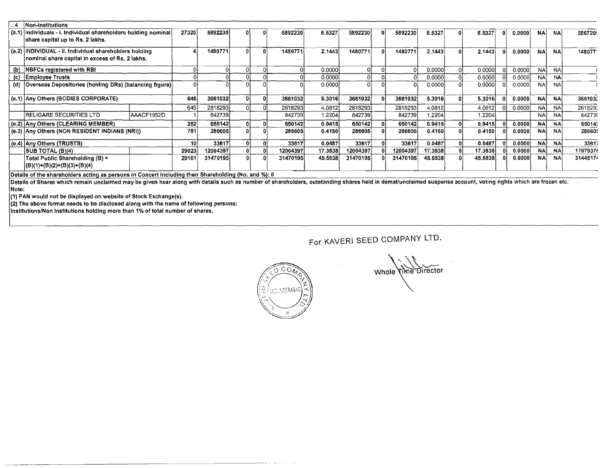| 4. ز | Non-institutions                                                                                                      |            |       |          |  |          |         |          |          |         |                    |        |            |           |          |
|------|-----------------------------------------------------------------------------------------------------------------------|------------|-------|----------|--|----------|---------|----------|----------|---------|--------------------|--------|------------|-----------|----------|
|      | (a.1) individuals - i. Individual shareholders holding nominal<br>share capital up to Rs. 2 lakhs.                    |            | 27320 | 5892230  |  | 5892230  | 8,5327  | 5892230  | 5892230  | 8.5327  | 8.5327             | 0.0000 | <b>NA</b>  | <b>NA</b> | 586720   |
|      | (a.2) INDIVIDUAL - ii. Individual shareholders holding<br>nominal share capital in excess of Rs. 2 lakhs.             |            |       | 1480771  |  | 1480771  | 2.1443  | 1480771  | 1480771  | 2.1443  | 2.1443             | 0.0000 | <b>NA</b>  | NA.       | 148077   |
|      | (b) NBFCs registered with RBI                                                                                         |            |       |          |  |          | 0.0000  |          |          | 0.0000  | 0.0000             | 0.0000 | -NA        | <b>NA</b> |          |
|      | (c) Employee Trusts                                                                                                   |            |       |          |  |          | 0.0000  |          |          | 0.0000  | 0.0000             | 0.0000 | <b>NA</b>  | <b>NA</b> |          |
|      | (d) Overseas Depositories (holding DRs) (balancing figure)                                                            |            |       |          |  |          | 0.00001 |          |          | 0.0000  | 0.0000             | 0.0000 | <b>NA</b>  | <b>NA</b> |          |
|      | (e.1) Any Others (BODIES CORPORATE)                                                                                   |            | 646   | 3661032  |  | 3661032  | 5.3016  | 3661032  | 3661032  | 5.3016  | 5.3016             | 0.0000 | <b>NA</b>  | <b>NA</b> | 3661032  |
|      |                                                                                                                       |            | 645   | 2818293  |  | 2818293  | 4.0812  | 2818293  | 2818293  | 4.0812  | 4.0812             | 0.0000 | NA         | <b>NA</b> | 281829   |
|      | <b>RELIGARE SECURITIES LTD</b>                                                                                        | AAACF1952D |       | 842739   |  | 842739   | 1.2204  | 842739   | 842739   | 1.2204  | $1.2204^{\dagger}$ |        | <b>NAI</b> | <b>NA</b> | 842739   |
|      | (e.2) Any Others (CLEARING MEMBER)                                                                                    |            | 262   | 650142   |  | 650142   | 0.9415  | 650142   | 650142   | 0.9415  | 0.9415             | 0.0000 | <b>NA</b>  | <b>NA</b> | 650142   |
|      | (e.3) Any Others (NON RESIDENT INDIANS (NRI))                                                                         |            | 781   | 286605   |  | 286605   | 0.4150  | 286605   | 286605   | 0.4150  | 0.4150             | 0.0000 | <b>NA</b>  | <b>NA</b> | 286605   |
|      | (e.4) Any Others (TRUSTS)                                                                                             |            | 10    | 33617    |  | 33617    | 0.0487  | 33617    | 33617    | 0.0487  | 0.0487             | 0.0000 | <b>NAI</b> | <b>NA</b> | 33617    |
|      | SUB TOTAL (B)(4)                                                                                                      |            | 29023 | 12004397 |  | 12004397 | 17.3838 | 12004397 | 12004397 | 17.3838 | 17.3838            | 0.0000 | <b>NAI</b> | <b>NA</b> | 11979376 |
|      | Total Public Shareholding (B) =<br>$ (B)(1)+(B)(2)+(B)(3)+(B)(4) $                                                    |            | 29161 | 31470195 |  | 31470195 | 45.5838 | 31470195 | 31470195 | 45.5838 | 45.5838            | 0.0000 | <b>NA</b>  | <b>NA</b> | 31445174 |
|      | IN 1986, alt des champes interessentences are conserved to Arms and the first of the control distance that was Atla A |            |       |          |  |          |         |          |          |         |                    |        |            |           |          |

Details of the shareholders acting as persons in Concert including their Shareholding (No. and %): **0** 

Details of Shares which remain unclaimed may be given hear along with details such as number of shareholders, outstanding shares held in demat/unclaimed suspense account, voting rights which are frozen etc. Note:

(1) PAN would not be displayed on website of Stock Exchange(s).

 $(2)$  The above format needs to be disclosed along with the name of following persons:

lnstitutionslNon Institutions holdlng more than 1% of total number of shares.

For KAVERI SEED COMPANY LTD.



Whole Time Director